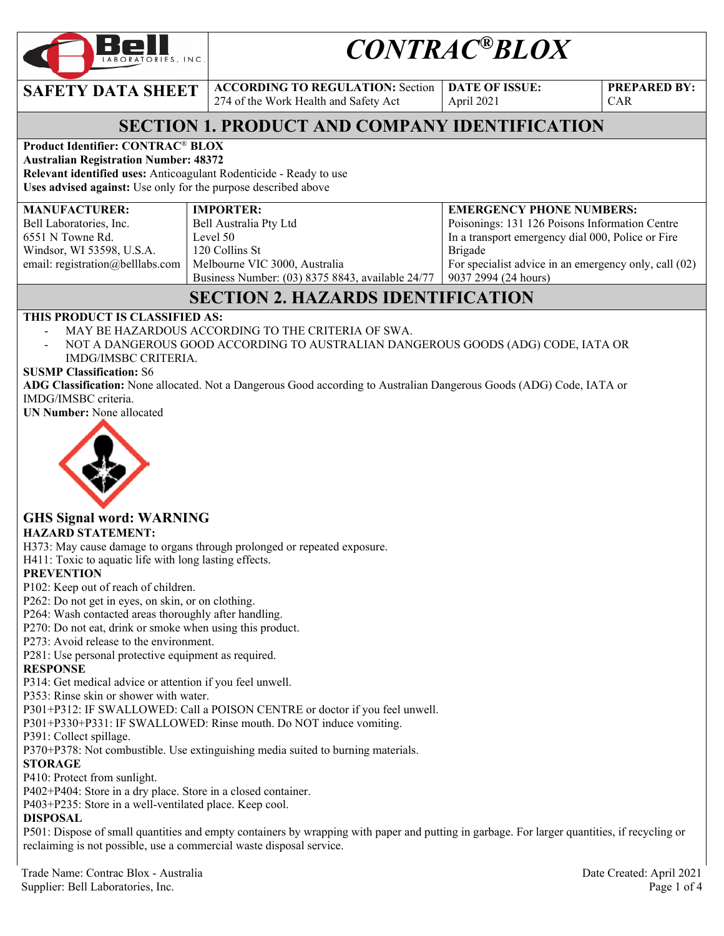

# *CONTRAC®BLOX*

**SAFETY DATA SHEET ACCORDING TO REGULATION: Section** 

274 of the Work Health and Safety Act

**DATE OF ISSUE:**  April 2021

**PREPARED BY:**  CAR

### **SECTION 1. PRODUCT AND COMPANY IDENTIFICATION**

**Product Identifier: CONTRAC**® **BLOX** 

**Australian Registration Number: 48372 Relevant identified uses:** Anticoagulant Rodenticide - Ready to use

**Uses advised against:** Use only for the purpose described above

#### **MANUFACTURER:**

Bell Laboratories, Inc. 6551 N Towne Rd. Windsor, WI 53598, U.S.A. email: registration@belllabs.com **IMPORTER:**  Bell Australia Pty Ltd Level 50 120 Collins St Melbourne VIC 3000, Australia Business Number: (03) 8375 8843, available 24/77

#### **EMERGENCY PHONE NUMBERS:**  Poisonings: 131 126 Poisons Information Centre

In a transport emergency dial 000, Police or Fire Brigade For specialist advice in an emergency only, call (02) 9037 2994 (24 hours)

## **SECTION 2. HAZARDS IDENTIFICATION**

#### **THIS PRODUCT IS CLASSIFIED AS:**

- MAY BE HAZARDOUS ACCORDING TO THE CRITERIA OF SWA.
- NOT A DANGEROUS GOOD ACCORDING TO AUSTRALIAN DANGEROUS GOODS (ADG) CODE, IATA OR IMDG/IMSBC CRITERIA.

#### **SUSMP Classification:** S6

**ADG Classification:** None allocated. Not a Dangerous Good according to Australian Dangerous Goods (ADG) Code, IATA or IMDG/IMSBC criteria.

**UN Number:** None allocated



# **GHS Signal word: WARNING**

**HAZARD STATEMENT:** 

H373: May cause damage to organs through prolonged or repeated exposure.

H411: Toxic to aquatic life with long lasting effects.

#### **PREVENTION**

- P102: Keep out of reach of children.
- P262: Do not get in eyes, on skin, or on clothing.
- P264: Wash contacted areas thoroughly after handling.
- P270: Do not eat, drink or smoke when using this product.
- P273: Avoid release to the environment.
- P281: Use personal protective equipment as required.

#### **RESPONSE**

P314: Get medical advice or attention if you feel unwell.

P353: Rinse skin or shower with water.

P301+P312: IF SWALLOWED: Call a POISON CENTRE or doctor if you feel unwell.

P301+P330+P331: IF SWALLOWED: Rinse mouth. Do NOT induce vomiting.

#### P391: Collect spillage.

P370+P378: Not combustible. Use extinguishing media suited to burning materials.

#### **STORAGE**

P410: Protect from sunlight.

P402+P404: Store in a dry place. Store in a closed container.

P403+P235: Store in a well-ventilated place. Keep cool.

#### **DISPOSAL**

P501: Dispose of small quantities and empty containers by wrapping with paper and putting in garbage. For larger quantities, if recycling or reclaiming is not possible, use a commercial waste disposal service.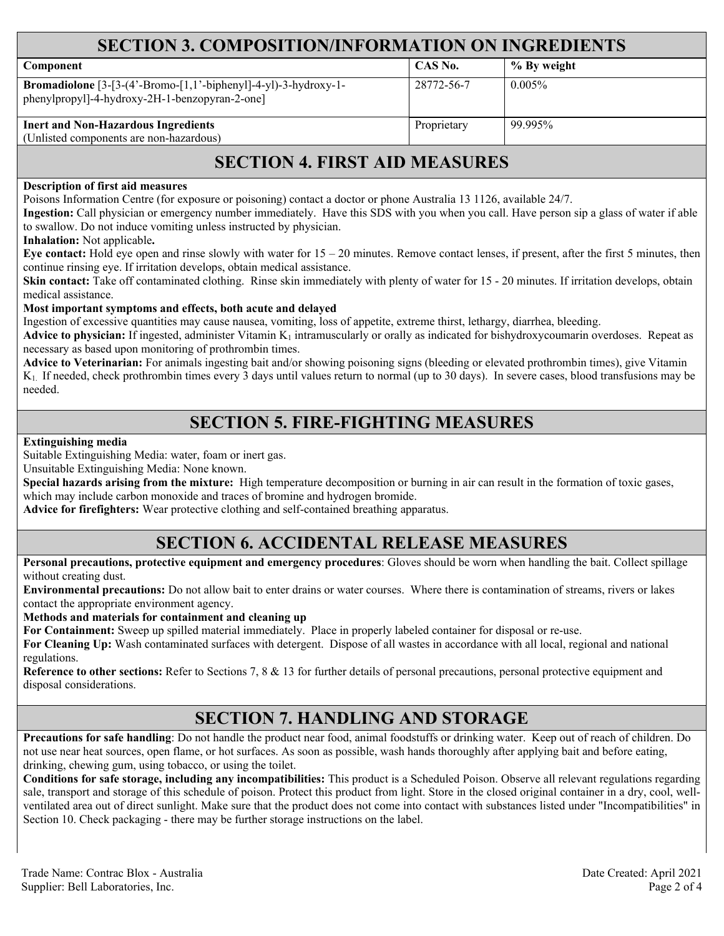| <b>SECTION 3. COMPOSITION/INFORMATION ON INGREDIENTS</b>                                                                   |             |             |  |  |
|----------------------------------------------------------------------------------------------------------------------------|-------------|-------------|--|--|
| <b>Component</b>                                                                                                           | CAS No.     | % By weight |  |  |
| <b>Bromadiolone</b> $[3-[3-(4'-Bromo-[1,1'-bipheny1]-4-y1)-3-hydroxy-1-$<br>phenylpropyl]-4-hydroxy-2H-1-benzopyran-2-one] | 28772-56-7  | $0.005\%$   |  |  |
| <b>Inert and Non-Hazardous Ingredients</b><br>(Unlisted components are non-hazardous)                                      | Proprietary | 99.995%     |  |  |

### **SECTION 4. FIRST AID MEASURES**

#### **Description of first aid measures**

Poisons Information Centre (for exposure or poisoning) contact a doctor or phone Australia 13 1126, available 24/7.

**Ingestion:** Call physician or emergency number immediately. Have this SDS with you when you call. Have person sip a glass of water if able to swallow. Do not induce vomiting unless instructed by physician.

**Inhalation:** Not applicable**.** 

**Eye contact:** Hold eye open and rinse slowly with water for 15 – 20 minutes. Remove contact lenses, if present, after the first 5 minutes, then continue rinsing eye. If irritation develops, obtain medical assistance.

**Skin contact:** Take off contaminated clothing. Rinse skin immediately with plenty of water for 15 - 20 minutes. If irritation develops, obtain medical assistance.

#### **Most important symptoms and effects, both acute and delayed**

Ingestion of excessive quantities may cause nausea, vomiting, loss of appetite, extreme thirst, lethargy, diarrhea, bleeding.

**Advice to physician:** If ingested, administer Vitamin  $K_1$  intramuscularly or orally as indicated for bishydroxycoumarin overdoses. Repeat as necessary as based upon monitoring of prothrombin times.

**Advice to Veterinarian:** For animals ingesting bait and/or showing poisoning signs (bleeding or elevated prothrombin times), give Vitamin K1. If needed, check prothrombin times every 3 days until values return to normal (up to 30 days). In severe cases, blood transfusions may be needed.

### **SECTION 5. FIRE-FIGHTING MEASURES**

#### **Extinguishing media**

Suitable Extinguishing Media: water, foam or inert gas.

Unsuitable Extinguishing Media: None known.

**Special hazards arising from the mixture:** High temperature decomposition or burning in air can result in the formation of toxic gases, which may include carbon monoxide and traces of bromine and hydrogen bromide.

**Advice for firefighters:** Wear protective clothing and self-contained breathing apparatus.

### **SECTION 6. ACCIDENTAL RELEASE MEASURES**

**Personal precautions, protective equipment and emergency procedures**: Gloves should be worn when handling the bait. Collect spillage without creating dust.

**Environmental precautions:** Do not allow bait to enter drains or water courses. Where there is contamination of streams, rivers or lakes contact the appropriate environment agency.

**Methods and materials for containment and cleaning up**

**For Containment:** Sweep up spilled material immediately. Place in properly labeled container for disposal or re-use.

**For Cleaning Up:** Wash contaminated surfaces with detergent. Dispose of all wastes in accordance with all local, regional and national regulations.

**Reference to other sections:** Refer to Sections 7, 8 & 13 for further details of personal precautions, personal protective equipment and disposal considerations.

### **SECTION 7. HANDLING AND STORAGE**

**Precautions for safe handling**: Do not handle the product near food, animal foodstuffs or drinking water. Keep out of reach of children. Do not use near heat sources, open flame, or hot surfaces. As soon as possible, wash hands thoroughly after applying bait and before eating, drinking, chewing gum, using tobacco, or using the toilet.

**Conditions for safe storage, including any incompatibilities:** This product is a Scheduled Poison. Observe all relevant regulations regarding sale, transport and storage of this schedule of poison. Protect this product from light. Store in the closed original container in a dry, cool, wellventilated area out of direct sunlight. Make sure that the product does not come into contact with substances listed under "Incompatibilities" in Section 10. Check packaging - there may be further storage instructions on the label.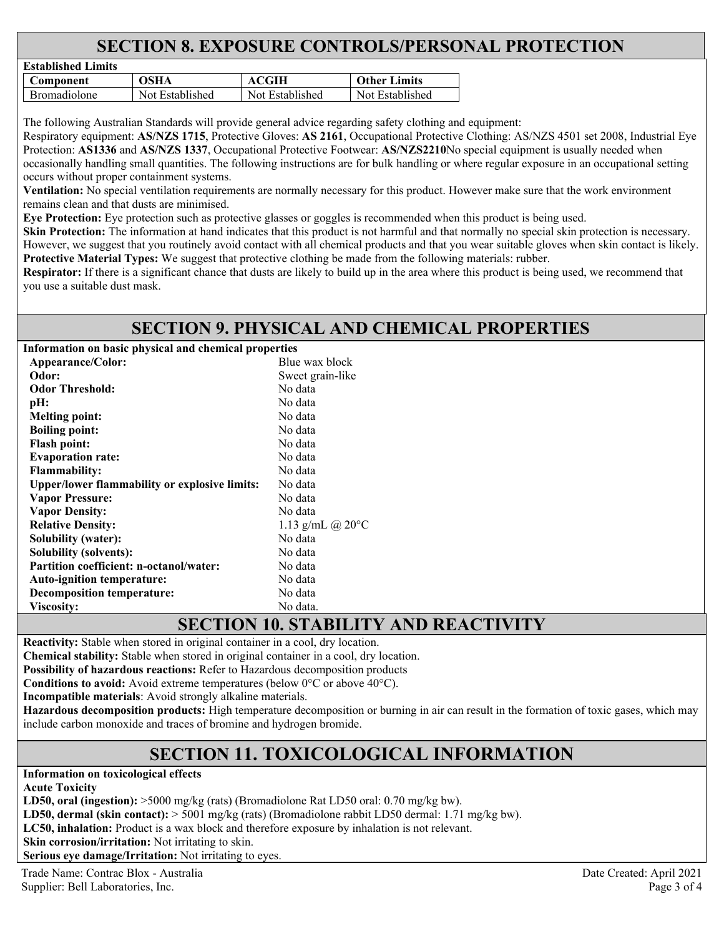### **SECTION 8. EXPOSURE CONTROLS/PERSONAL PROTECTION**

| Established Littlits |                 |                 |                     |  |
|----------------------|-----------------|-----------------|---------------------|--|
| C <b>omponent</b>    | OSHA            | ACGIH           | <b>Other Limits</b> |  |
| <b>Bromadiolone</b>  | Not Established | Not Established | Not Established     |  |

The following Australian Standards will provide general advice regarding safety clothing and equipment:

Respiratory equipment: **AS/NZS 1715**, Protective Gloves: **AS 2161**, Occupational Protective Clothing: AS/NZS 4501 set 2008, Industrial Eye Protection: **AS1336** and **AS/NZS 1337**, Occupational Protective Footwear: **AS/NZS2210**No special equipment is usually needed when occasionally handling small quantities. The following instructions are for bulk handling or where regular exposure in an occupational setting occurs without proper containment systems.

**Ventilation:** No special ventilation requirements are normally necessary for this product. However make sure that the work environment remains clean and that dusts are minimised.

**Eye Protection:** Eye protection such as protective glasses or goggles is recommended when this product is being used.

**Skin Protection:** The information at hand indicates that this product is not harmful and that normally no special skin protection is necessary. However, we suggest that you routinely avoid contact with all chemical products and that you wear suitable gloves when skin contact is likely. **Protective Material Types:** We suggest that protective clothing be made from the following materials: rubber.

**Respirator:** If there is a significant chance that dusts are likely to build up in the area where this product is being used, we recommend that you use a suitable dust mask.

### **SECTION 9. PHYSICAL AND CHEMICAL PROPERTIES**

**Information on basic physical and chemical properties** 

**Established Limits** 

| Appearance/Color:                                    | Blue wax block             |  |
|------------------------------------------------------|----------------------------|--|
| Odor:                                                | Sweet grain-like           |  |
| <b>Odor Threshold:</b>                               | No data                    |  |
| pH:                                                  | No data                    |  |
| <b>Melting point:</b>                                | No data                    |  |
| <b>Boiling point:</b>                                | No data                    |  |
| <b>Flash point:</b>                                  | No data                    |  |
| <b>Evaporation rate:</b>                             | No data                    |  |
| <b>Flammability:</b>                                 | No data                    |  |
| <b>Upper/lower flammability or explosive limits:</b> | No data                    |  |
| <b>Vapor Pressure:</b>                               | No data                    |  |
| <b>Vapor Density:</b>                                | No data                    |  |
| <b>Relative Density:</b>                             | 1.13 g/mL @ $20^{\circ}$ C |  |
| Solubility (water):                                  | No data                    |  |
| Solubility (solvents):                               | No data                    |  |
| Partition coefficient: n-octanol/water:              | No data                    |  |
| <b>Auto-ignition temperature:</b>                    | No data                    |  |
| Decomposition temperature:                           | No data                    |  |
| <b>Viscosity:</b>                                    | No data.                   |  |

### **SECTION 10. STABILITY AND REACTIVITY**

**Reactivity:** Stable when stored in original container in a cool, dry location.

**Chemical stability:** Stable when stored in original container in a cool, dry location.

**Possibility of hazardous reactions:** Refer to Hazardous decomposition products

**Conditions to avoid:** Avoid extreme temperatures (below 0°C or above 40°C).

**Incompatible materials**: Avoid strongly alkaline materials.

**Hazardous decomposition products:** High temperature decomposition or burning in air can result in the formation of toxic gases, which may include carbon monoxide and traces of bromine and hydrogen bromide.

### **SECTION 11. TOXICOLOGICAL INFORMATION**

**Information on toxicological effects** 

**Acute Toxicity** 

**LD50, oral (ingestion):** >5000 mg/kg (rats) (Bromadiolone Rat LD50 oral: 0.70 mg/kg bw).

**LD50, dermal (skin contact):** > 5001 mg/kg (rats) (Bromadiolone rabbit LD50 dermal: 1.71 mg/kg bw).

**LC50, inhalation:** Product is a wax block and therefore exposure by inhalation is not relevant.

**Skin corrosion/irritation:** Not irritating to skin.

**Serious eye damage/Irritation:** Not irritating to eyes.